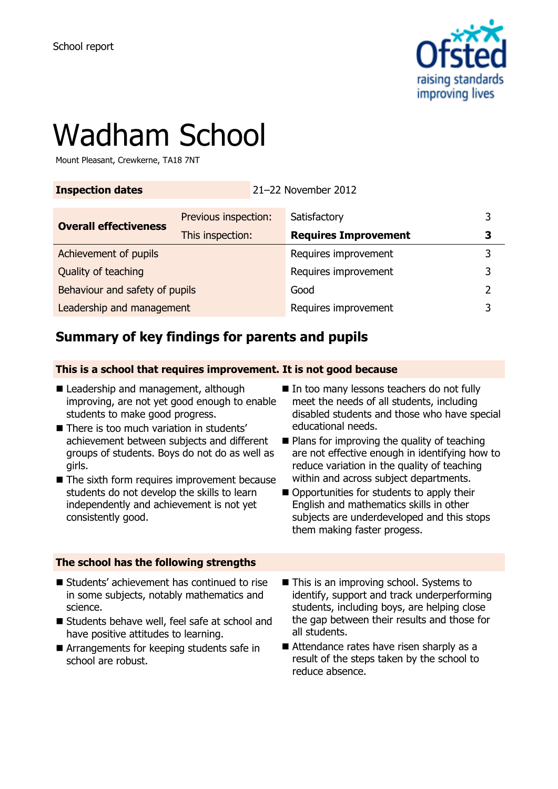

# Wadham School

Mount Pleasant, Crewkerne, TA18 7NT

### **Inspection dates** 21–22 November 2012

| <b>Overall effectiveness</b>   | Previous inspection: | Satisfactory                |   |
|--------------------------------|----------------------|-----------------------------|---|
|                                | This inspection:     | <b>Requires Improvement</b> |   |
| Achievement of pupils          |                      | Requires improvement        |   |
| Quality of teaching            |                      | Requires improvement        | ર |
| Behaviour and safety of pupils |                      | Good                        |   |
| Leadership and management      |                      | Requires improvement        |   |

# **Summary of key findings for parents and pupils**

### **This is a school that requires improvement. It is not good because**

- Leadership and management, although improving, are not yet good enough to enable students to make good progress.
- There is too much variation in students' achievement between subjects and different groups of students. Boys do not do as well as girls.
- The sixth form requires improvement because students do not develop the skills to learn independently and achievement is not yet consistently good.
- In too many lessons teachers do not fully meet the needs of all students, including disabled students and those who have special educational needs.
- $\blacksquare$  Plans for improving the quality of teaching are not effective enough in identifying how to reduce variation in the quality of teaching within and across subject departments.
- Opportunities for students to apply their English and mathematics skills in other subjects are underdeveloped and this stops them making faster progess.

### **The school has the following strengths**

- Students' achievement has continued to rise in some subjects, notably mathematics and science.
- Students behave well, feel safe at school and have positive attitudes to learning.
- Arrangements for keeping students safe in school are robust.
- This is an improving school. Systems to identify, support and track underperforming students, including boys, are helping close the gap between their results and those for all students.
- Attendance rates have risen sharply as a result of the steps taken by the school to reduce absence.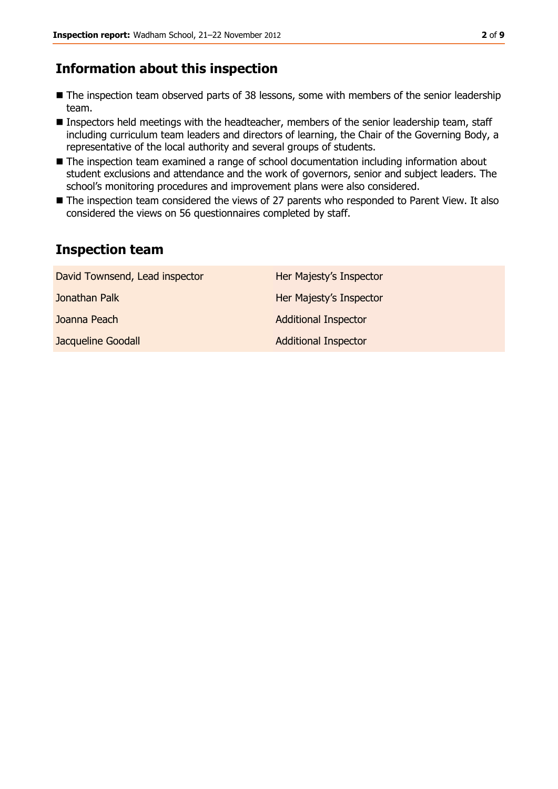# **Information about this inspection**

- The inspection team observed parts of 38 lessons, some with members of the senior leadership team.
- Inspectors held meetings with the headteacher, members of the senior leadership team, staff including curriculum team leaders and directors of learning, the Chair of the Governing Body, a representative of the local authority and several groups of students.
- The inspection team examined a range of school documentation including information about student exclusions and attendance and the work of governors, senior and subject leaders. The school's monitoring procedures and improvement plans were also considered.
- The inspection team considered the views of 27 parents who responded to Parent View. It also considered the views on 56 questionnaires completed by staff.

# **Inspection team**

| David Townsend, Lead inspector | Her Majesty's Inspector     |
|--------------------------------|-----------------------------|
| Jonathan Palk                  | Her Majesty's Inspector     |
| Joanna Peach                   | <b>Additional Inspector</b> |
| Jacqueline Goodall             | <b>Additional Inspector</b> |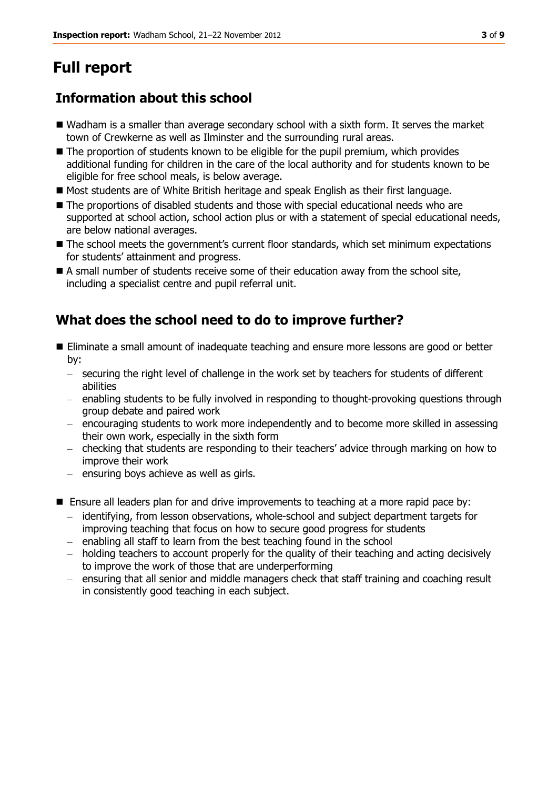# **Full report**

# **Information about this school**

- Wadham is a smaller than average secondary school with a sixth form. It serves the market town of Crewkerne as well as Ilminster and the surrounding rural areas.
- The proportion of students known to be eligible for the pupil premium, which provides additional funding for children in the care of the local authority and for students known to be eligible for free school meals, is below average.
- **Most students are of White British heritage and speak English as their first language.**
- The proportions of disabled students and those with special educational needs who are supported at school action, school action plus or with a statement of special educational needs, are below national averages.
- $\blacksquare$  The school meets the government's current floor standards, which set minimum expectations for students' attainment and progress.
- A small number of students receive some of their education away from the school site, including a specialist centre and pupil referral unit.

# **What does the school need to do to improve further?**

- Eliminate a small amount of inadequate teaching and ensure more lessons are good or better by:
	- securing the right level of challenge in the work set by teachers for students of different abilities
	- enabling students to be fully involved in responding to thought-provoking questions through group debate and paired work
	- encouraging students to work more independently and to become more skilled in assessing their own work, especially in the sixth form
	- checking that students are responding to their teachers' advice through marking on how to improve their work
	- ensuring boys achieve as well as girls.
- Ensure all leaders plan for and drive improvements to teaching at a more rapid pace by:
	- identifying, from lesson observations, whole-school and subject department targets for improving teaching that focus on how to secure good progress for students
	- enabling all staff to learn from the best teaching found in the school
	- holding teachers to account properly for the quality of their teaching and acting decisively to improve the work of those that are underperforming
	- ensuring that all senior and middle managers check that staff training and coaching result in consistently good teaching in each subject.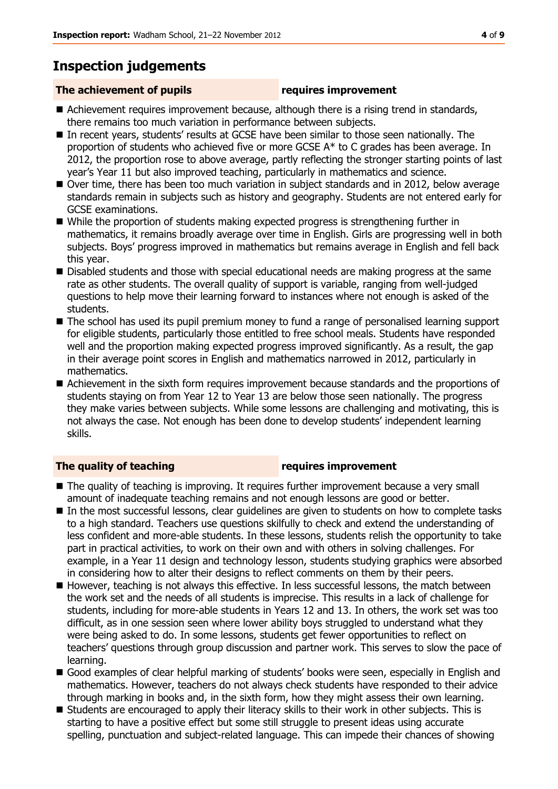# **Inspection judgements**

### **The achievement of pupils requires improvement**

- Achievement requires improvement because, although there is a rising trend in standards, there remains too much variation in performance between subjects.
- In recent years, students' results at GCSE have been similar to those seen nationally. The proportion of students who achieved five or more GCSE A\* to C grades has been average. In 2012, the proportion rose to above average, partly reflecting the stronger starting points of last year's Year 11 but also improved teaching, particularly in mathematics and science.
- Over time, there has been too much variation in subject standards and in 2012, below average standards remain in subjects such as history and geography. Students are not entered early for GCSE examinations.
- While the proportion of students making expected progress is strengthening further in mathematics, it remains broadly average over time in English. Girls are progressing well in both subjects. Boys' progress improved in mathematics but remains average in English and fell back this year.
- Disabled students and those with special educational needs are making progress at the same rate as other students. The overall quality of support is variable, ranging from well-judged questions to help move their learning forward to instances where not enough is asked of the students.
- The school has used its pupil premium money to fund a range of personalised learning support for eligible students, particularly those entitled to free school meals. Students have responded well and the proportion making expected progress improved significantly. As a result, the gap in their average point scores in English and mathematics narrowed in 2012, particularly in mathematics.
- Achievement in the sixth form requires improvement because standards and the proportions of students staying on from Year 12 to Year 13 are below those seen nationally. The progress they make varies between subjects. While some lessons are challenging and motivating, this is not always the case. Not enough has been done to develop students' independent learning skills.

### **The quality of teaching requires improvement**

- The quality of teaching is improving. It requires further improvement because a very small amount of inadequate teaching remains and not enough lessons are good or better.
- In the most successful lessons, clear guidelines are given to students on how to complete tasks to a high standard. Teachers use questions skilfully to check and extend the understanding of less confident and more-able students. In these lessons, students relish the opportunity to take part in practical activities, to work on their own and with others in solving challenges. For example, in a Year 11 design and technology lesson, students studying graphics were absorbed in considering how to alter their designs to reflect comments on them by their peers.
- **H** However, teaching is not always this effective. In less successful lessons, the match between the work set and the needs of all students is imprecise. This results in a lack of challenge for students, including for more-able students in Years 12 and 13. In others, the work set was too difficult, as in one session seen where lower ability boys struggled to understand what they were being asked to do. In some lessons, students get fewer opportunities to reflect on teachers' questions through group discussion and partner work. This serves to slow the pace of learning.
- Good examples of clear helpful marking of students' books were seen, especially in English and mathematics. However, teachers do not always check students have responded to their advice through marking in books and, in the sixth form, how they might assess their own learning.
- Students are encouraged to apply their literacy skills to their work in other subiects. This is starting to have a positive effect but some still struggle to present ideas using accurate spelling, punctuation and subject-related language. This can impede their chances of showing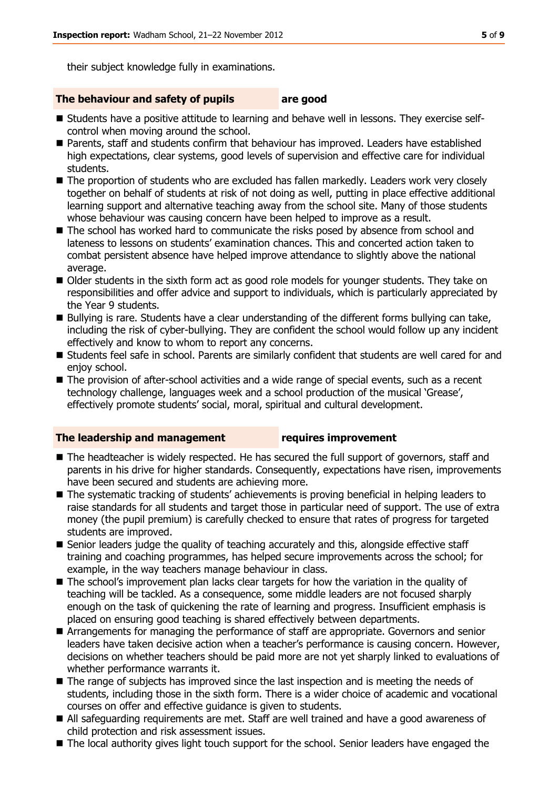their subject knowledge fully in examinations.

#### **The behaviour and safety of pupils are good**

- Students have a positive attitude to learning and behave well in lessons. They exercise selfcontrol when moving around the school.
- Parents, staff and students confirm that behaviour has improved. Leaders have established high expectations, clear systems, good levels of supervision and effective care for individual students.
- The proportion of students who are excluded has fallen markedly. Leaders work very closely together on behalf of students at risk of not doing as well, putting in place effective additional learning support and alternative teaching away from the school site. Many of those students whose behaviour was causing concern have been helped to improve as a result.
- The school has worked hard to communicate the risks posed by absence from school and lateness to lessons on students' examination chances. This and concerted action taken to combat persistent absence have helped improve attendance to slightly above the national average.
- Older students in the sixth form act as good role models for younger students. They take on responsibilities and offer advice and support to individuals, which is particularly appreciated by the Year 9 students.
- Bullying is rare. Students have a clear understanding of the different forms bullying can take, including the risk of cyber-bullying. They are confident the school would follow up any incident effectively and know to whom to report any concerns.
- **E** Students feel safe in school. Parents are similarly confident that students are well cared for and enjov school.
- The provision of after-school activities and a wide range of special events, such as a recent technology challenge, languages week and a school production of the musical 'Grease', effectively promote students' social, moral, spiritual and cultural development.

#### **The leadership and management requires improvement**

- The headteacher is widely respected. He has secured the full support of governors, staff and parents in his drive for higher standards. Consequently, expectations have risen, improvements have been secured and students are achieving more.
- The systematic tracking of students' achievements is proving beneficial in helping leaders to raise standards for all students and target those in particular need of support. The use of extra money (the pupil premium) is carefully checked to ensure that rates of progress for targeted students are improved.
- Senior leaders judge the quality of teaching accurately and this, alongside effective staff training and coaching programmes, has helped secure improvements across the school; for example, in the way teachers manage behaviour in class.
- The school's improvement plan lacks clear targets for how the variation in the quality of teaching will be tackled. As a consequence, some middle leaders are not focused sharply enough on the task of quickening the rate of learning and progress. Insufficient emphasis is placed on ensuring good teaching is shared effectively between departments.
- Arrangements for managing the performance of staff are appropriate. Governors and senior leaders have taken decisive action when a teacher's performance is causing concern. However, decisions on whether teachers should be paid more are not yet sharply linked to evaluations of whether performance warrants it.
- The range of subjects has improved since the last inspection and is meeting the needs of students, including those in the sixth form. There is a wider choice of academic and vocational courses on offer and effective guidance is given to students.
- All safeguarding requirements are met. Staff are well trained and have a good awareness of child protection and risk assessment issues.
- The local authority gives light touch support for the school. Senior leaders have engaged the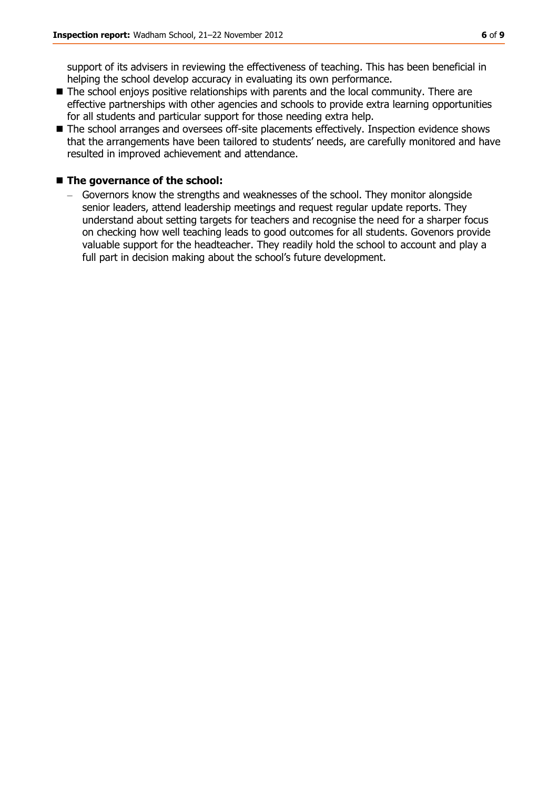support of its advisers in reviewing the effectiveness of teaching. This has been beneficial in helping the school develop accuracy in evaluating its own performance.

- The school enjoys positive relationships with parents and the local community. There are effective partnerships with other agencies and schools to provide extra learning opportunities for all students and particular support for those needing extra help.
- The school arranges and oversees off-site placements effectively. Inspection evidence shows that the arrangements have been tailored to students' needs, are carefully monitored and have resulted in improved achievement and attendance.

#### ■ The governance of the school:

– Governors know the strengths and weaknesses of the school. They monitor alongside senior leaders, attend leadership meetings and request regular update reports. They understand about setting targets for teachers and recognise the need for a sharper focus on checking how well teaching leads to good outcomes for all students. Govenors provide valuable support for the headteacher. They readily hold the school to account and play a full part in decision making about the school's future development.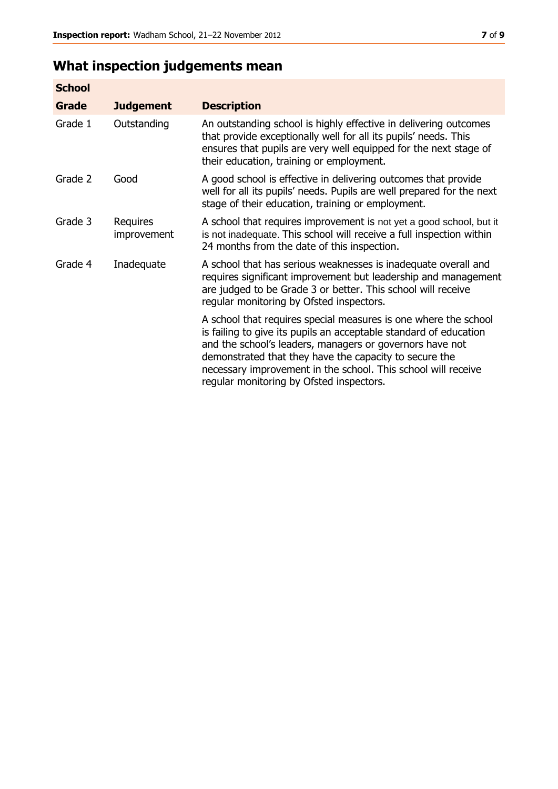# **What inspection judgements mean**

| <b>School</b> |                         |                                                                                                                                                                                                                                                                                                                                                                         |
|---------------|-------------------------|-------------------------------------------------------------------------------------------------------------------------------------------------------------------------------------------------------------------------------------------------------------------------------------------------------------------------------------------------------------------------|
| Grade         | <b>Judgement</b>        | <b>Description</b>                                                                                                                                                                                                                                                                                                                                                      |
| Grade 1       | Outstanding             | An outstanding school is highly effective in delivering outcomes<br>that provide exceptionally well for all its pupils' needs. This<br>ensures that pupils are very well equipped for the next stage of<br>their education, training or employment.                                                                                                                     |
| Grade 2       | Good                    | A good school is effective in delivering outcomes that provide<br>well for all its pupils' needs. Pupils are well prepared for the next<br>stage of their education, training or employment.                                                                                                                                                                            |
| Grade 3       | Requires<br>improvement | A school that requires improvement is not yet a good school, but it<br>is not inadequate. This school will receive a full inspection within<br>24 months from the date of this inspection.                                                                                                                                                                              |
| Grade 4       | Inadequate              | A school that has serious weaknesses is inadequate overall and<br>requires significant improvement but leadership and management<br>are judged to be Grade 3 or better. This school will receive<br>regular monitoring by Ofsted inspectors.                                                                                                                            |
|               |                         | A school that requires special measures is one where the school<br>is failing to give its pupils an acceptable standard of education<br>and the school's leaders, managers or governors have not<br>demonstrated that they have the capacity to secure the<br>necessary improvement in the school. This school will receive<br>regular monitoring by Ofsted inspectors. |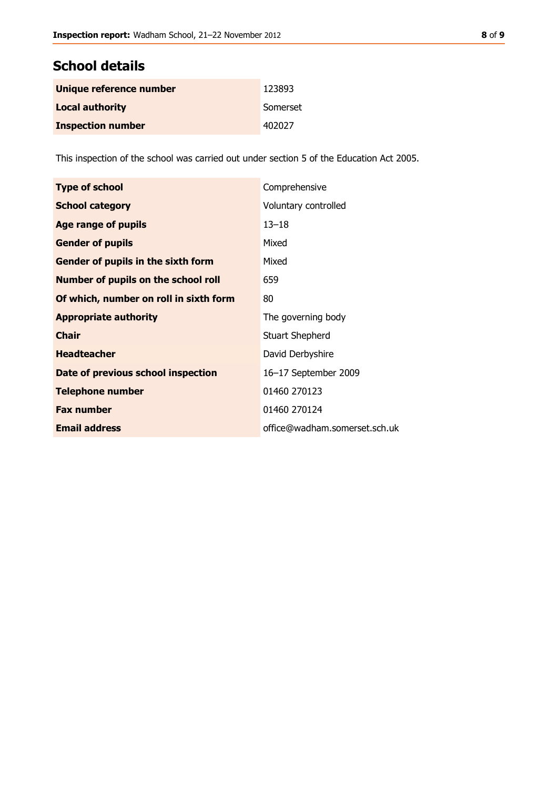## **School details**

| Unique reference number  | 123893   |
|--------------------------|----------|
| <b>Local authority</b>   | Somerset |
| <b>Inspection number</b> | 402027   |

This inspection of the school was carried out under section 5 of the Education Act 2005.

| <b>Type of school</b>                      | Comprehensive                 |
|--------------------------------------------|-------------------------------|
| <b>School category</b>                     | Voluntary controlled          |
| Age range of pupils                        | $13 - 18$                     |
| <b>Gender of pupils</b>                    | Mixed                         |
| Gender of pupils in the sixth form         | Mixed                         |
| <b>Number of pupils on the school roll</b> | 659                           |
| Of which, number on roll in sixth form     | 80                            |
| <b>Appropriate authority</b>               | The governing body            |
| <b>Chair</b>                               | <b>Stuart Shepherd</b>        |
| <b>Headteacher</b>                         | David Derbyshire              |
| Date of previous school inspection         | 16-17 September 2009          |
| <b>Telephone number</b>                    | 01460 270123                  |
| <b>Fax number</b>                          | 01460 270124                  |
| <b>Email address</b>                       | office@wadham.somerset.sch.uk |